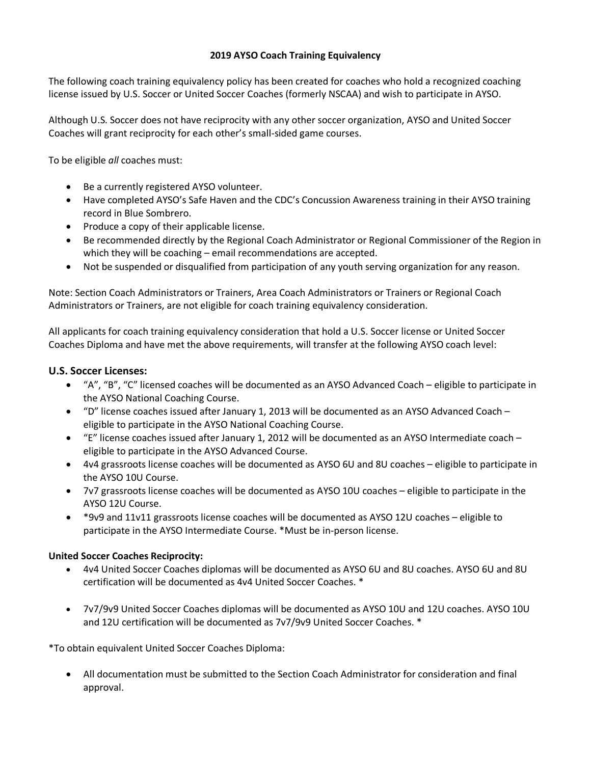## **2019 AYSO Coach Training Equivalency**

The following coach training equivalency policy has been created for coaches who hold a recognized coaching license issued by U.S. Soccer or United Soccer Coaches (formerly NSCAA) and wish to participate in AYSO.

Although U.S. Soccer does not have reciprocity with any other soccer organization, AYSO and United Soccer Coaches will grant reciprocity for each other's small-sided game courses.

To be eligible *all* coaches must:

- Be a currently registered AYSO volunteer.
- Have completed AYSO's Safe Haven and the CDC's Concussion Awareness training in their AYSO training record in Blue Sombrero.
- Produce a copy of their applicable license.
- Be recommended directly by the Regional Coach Administrator or Regional Commissioner of the Region in which they will be coaching – email recommendations are accepted.
- Not be suspended or disqualified from participation of any youth serving organization for any reason.

Note: Section Coach Administrators or Trainers, Area Coach Administrators or Trainers or Regional Coach Administrators or Trainers, are not eligible for coach training equivalency consideration.

All applicants for coach training equivalency consideration that hold a U.S. Soccer license or United Soccer Coaches Diploma and have met the above requirements, will transfer at the following AYSO coach level:

## **U.S. Soccer Licenses:**

- "A", "B", "C" licensed coaches will be documented as an AYSO Advanced Coach eligible to participate in the AYSO National Coaching Course.
- "D" license coaches issued after January 1, 2013 will be documented as an AYSO Advanced Coach eligible to participate in the AYSO National Coaching Course.
- "E" license coaches issued after January 1, 2012 will be documented as an AYSO Intermediate coach eligible to participate in the AYSO Advanced Course.
- 4v4 grassroots license coaches will be documented as AYSO 6U and 8U coaches eligible to participate in the AYSO 10U Course.
- 7v7 grassroots license coaches will be documented as AYSO 10U coaches eligible to participate in the AYSO 12U Course.
- \*9v9 and 11v11 grassroots license coaches will be documented as AYSO 12U coaches eligible to participate in the AYSO Intermediate Course. \*Must be in-person license.

## **United Soccer Coaches Reciprocity:**

- 4v4 United Soccer Coaches diplomas will be documented as AYSO 6U and 8U coaches. AYSO 6U and 8U certification will be documented as 4v4 United Soccer Coaches. \*
- 7v7/9v9 United Soccer Coaches diplomas will be documented as AYSO 10U and 12U coaches. AYSO 10U and 12U certification will be documented as 7v7/9v9 United Soccer Coaches. \*

\*To obtain equivalent United Soccer Coaches Diploma:

• All documentation must be submitted to the Section Coach Administrator for consideration and final approval.